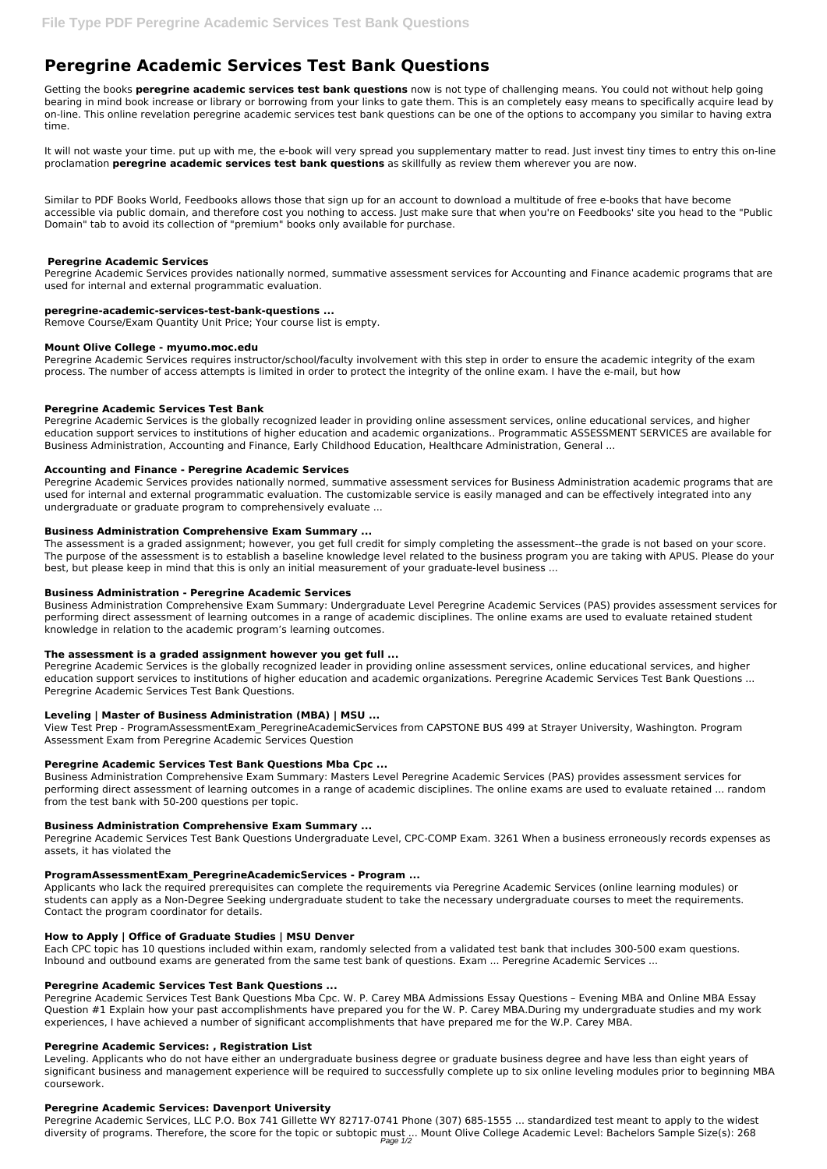# **Peregrine Academic Services Test Bank Questions**

Getting the books **peregrine academic services test bank questions** now is not type of challenging means. You could not without help going bearing in mind book increase or library or borrowing from your links to gate them. This is an completely easy means to specifically acquire lead by on-line. This online revelation peregrine academic services test bank questions can be one of the options to accompany you similar to having extra time.

It will not waste your time. put up with me, the e-book will very spread you supplementary matter to read. Just invest tiny times to entry this on-line proclamation **peregrine academic services test bank questions** as skillfully as review them wherever you are now.

Similar to PDF Books World, Feedbooks allows those that sign up for an account to download a multitude of free e-books that have become accessible via public domain, and therefore cost you nothing to access. Just make sure that when you're on Feedbooks' site you head to the "Public Domain" tab to avoid its collection of "premium" books only available for purchase.

# **Peregrine Academic Services**

Peregrine Academic Services provides nationally normed, summative assessment services for Accounting and Finance academic programs that are used for internal and external programmatic evaluation.

## **peregrine-academic-services-test-bank-questions ...**

Remove Course/Exam Quantity Unit Price; Your course list is empty.

## **Mount Olive College - myumo.moc.edu**

Peregrine Academic Services requires instructor/school/faculty involvement with this step in order to ensure the academic integrity of the exam process. The number of access attempts is limited in order to protect the integrity of the online exam. I have the e-mail, but how

# **Peregrine Academic Services Test Bank**

Peregrine Academic Services is the globally recognized leader in providing online assessment services, online educational services, and higher education support services to institutions of higher education and academic organizations.. Programmatic ASSESSMENT SERVICES are available for Business Administration, Accounting and Finance, Early Childhood Education, Healthcare Administration, General ...

# **Accounting and Finance - Peregrine Academic Services**

Peregrine Academic Services provides nationally normed, summative assessment services for Business Administration academic programs that are used for internal and external programmatic evaluation. The customizable service is easily managed and can be effectively integrated into any undergraduate or graduate program to comprehensively evaluate ...

# **Business Administration Comprehensive Exam Summary ...**

The assessment is a graded assignment; however, you get full credit for simply completing the assessment--the grade is not based on your score. The purpose of the assessment is to establish a baseline knowledge level related to the business program you are taking with APUS. Please do your best, but please keep in mind that this is only an initial measurement of your graduate-level business ...

# **Business Administration - Peregrine Academic Services**

Peregrine Academic Services, LLC P.O. Box 741 Gillette WY 82717-0741 Phone (307) 685-1555 ... standardized test meant to apply to the widest diversity of programs. Therefore, the score for the topic or subtopic must ... Mount Olive College Academic Level: Bachelors Sample Size(s): 268 Page  $1/2$ 

Business Administration Comprehensive Exam Summary: Undergraduate Level Peregrine Academic Services (PAS) provides assessment services for performing direct assessment of learning outcomes in a range of academic disciplines. The online exams are used to evaluate retained student knowledge in relation to the academic program's learning outcomes.

# **The assessment is a graded assignment however you get full ...**

Peregrine Academic Services is the globally recognized leader in providing online assessment services, online educational services, and higher education support services to institutions of higher education and academic organizations. Peregrine Academic Services Test Bank Questions ... Peregrine Academic Services Test Bank Questions.

# **Leveling | Master of Business Administration (MBA) | MSU ...**

View Test Prep - ProgramAssessmentExam\_PeregrineAcademicServices from CAPSTONE BUS 499 at Strayer University, Washington. Program Assessment Exam from Peregrine Academic Services Question

# **Peregrine Academic Services Test Bank Questions Mba Cpc ...**

Business Administration Comprehensive Exam Summary: Masters Level Peregrine Academic Services (PAS) provides assessment services for performing direct assessment of learning outcomes in a range of academic disciplines. The online exams are used to evaluate retained ... random from the test bank with 50-200 questions per topic.

#### **Business Administration Comprehensive Exam Summary ...**

Peregrine Academic Services Test Bank Questions Undergraduate Level, CPC-COMP Exam. 3261 When a business erroneously records expenses as assets, it has violated the

## **ProgramAssessmentExam\_PeregrineAcademicServices - Program ...**

Applicants who lack the required prerequisites can complete the requirements via Peregrine Academic Services (online learning modules) or students can apply as a Non-Degree Seeking undergraduate student to take the necessary undergraduate courses to meet the requirements. Contact the program coordinator for details.

## **How to Apply | Office of Graduate Studies | MSU Denver**

Each CPC topic has 10 questions included within exam, randomly selected from a validated test bank that includes 300-500 exam questions. Inbound and outbound exams are generated from the same test bank of questions. Exam ... Peregrine Academic Services ...

#### **Peregrine Academic Services Test Bank Questions ...**

Peregrine Academic Services Test Bank Questions Mba Cpc. W. P. Carey MBA Admissions Essay Questions – Evening MBA and Online MBA Essay Question #1 Explain how your past accomplishments have prepared you for the W. P. Carey MBA.During my undergraduate studies and my work experiences, I have achieved a number of significant accomplishments that have prepared me for the W.P. Carey MBA.

#### **Peregrine Academic Services: , Registration List**

Leveling. Applicants who do not have either an undergraduate business degree or graduate business degree and have less than eight years of significant business and management experience will be required to successfully complete up to six online leveling modules prior to beginning MBA coursework.

#### **Peregrine Academic Services: Davenport University**